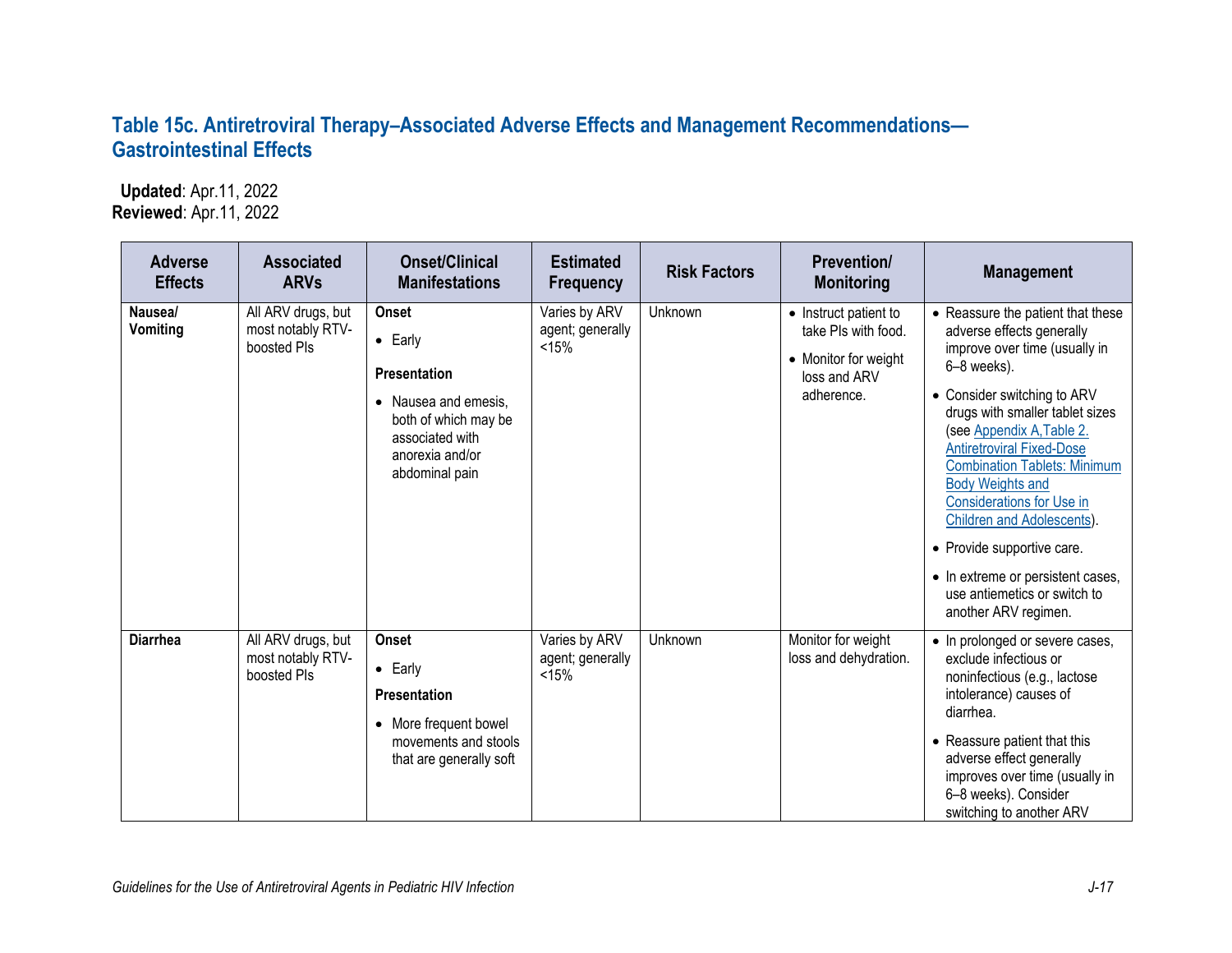## **Table 15c. Antiretroviral Therapy–Associated Adverse Effects and Management Recommendations— Gastrointestinal Effects**

 **Updated**: Apr.11, 2022 **Reviewed**: Apr.11, 2022

| <b>Adverse</b><br><b>Effects</b> | <b>Associated</b><br><b>ARVs</b>                       | <b>Onset/Clinical</b><br><b>Manifestations</b>                                                                                                                     | <b>Estimated</b><br><b>Frequency</b>       | <b>Risk Factors</b> | <b>Prevention/</b><br><b>Monitoring</b>                                                            | <b>Management</b>                                                                                                                                                                                                                                                                                                                                                                                                                                                                                                |
|----------------------------------|--------------------------------------------------------|--------------------------------------------------------------------------------------------------------------------------------------------------------------------|--------------------------------------------|---------------------|----------------------------------------------------------------------------------------------------|------------------------------------------------------------------------------------------------------------------------------------------------------------------------------------------------------------------------------------------------------------------------------------------------------------------------------------------------------------------------------------------------------------------------------------------------------------------------------------------------------------------|
| Nausea/<br><b>Vomiting</b>       | All ARV drugs, but<br>most notably RTV-<br>boosted PIs | <b>Onset</b><br>$\bullet$ Early<br>Presentation<br>Nausea and emesis.<br>$\bullet$<br>both of which may be<br>associated with<br>anorexia and/or<br>abdominal pain | Varies by ARV<br>agent; generally<br>< 15% | Unknown             | • Instruct patient to<br>take PIs with food.<br>• Monitor for weight<br>loss and ARV<br>adherence. | • Reassure the patient that these<br>adverse effects generally<br>improve over time (usually in<br>6-8 weeks).<br>• Consider switching to ARV<br>drugs with smaller tablet sizes<br>(see Appendix A, Table 2.<br><b>Antiretroviral Fixed-Dose</b><br><b>Combination Tablets: Minimum</b><br><b>Body Weights and</b><br><b>Considerations for Use in</b><br>Children and Adolescents).<br>• Provide supportive care.<br>• In extreme or persistent cases,<br>use antiemetics or switch to<br>another ARV regimen. |
| <b>Diarrhea</b>                  | All ARV drugs, but<br>most notably RTV-<br>boosted Pls | Onset<br>$\bullet$ Early<br>Presentation<br>More frequent bowel<br>$\bullet$<br>movements and stools<br>that are generally soft                                    | Varies by ARV<br>agent; generally<br>< 15% | Unknown             | Monitor for weight<br>loss and dehydration.                                                        | • In prolonged or severe cases,<br>exclude infectious or<br>noninfectious (e.g., lactose<br>intolerance) causes of<br>diarrhea.<br>• Reassure patient that this<br>adverse effect generally<br>improves over time (usually in<br>6-8 weeks). Consider<br>switching to another ARV                                                                                                                                                                                                                                |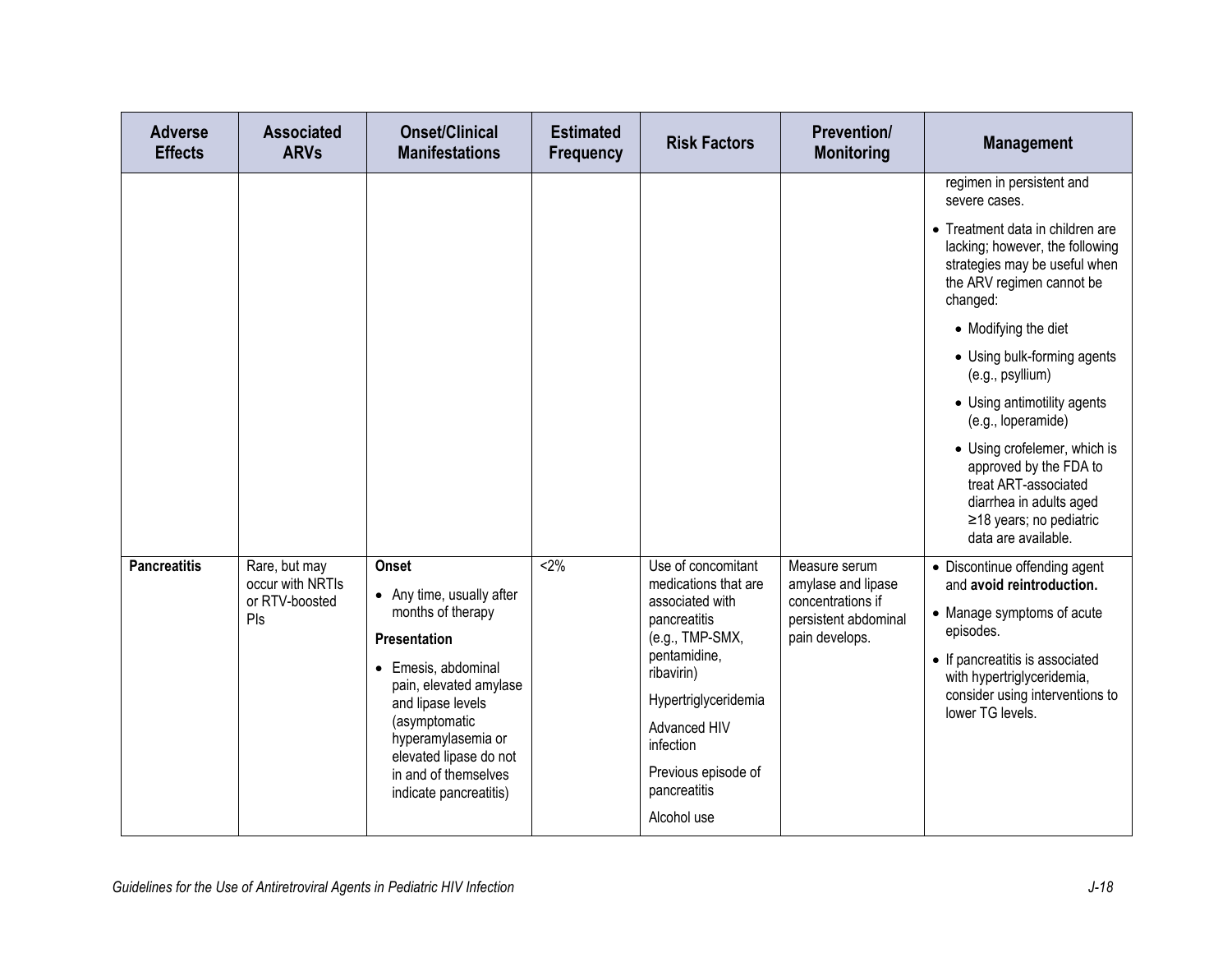| regimen in persistent and<br>severe cases.<br>• Treatment data in children are<br>lacking; however, the following<br>strategies may be useful when<br>the ARV regimen cannot be                                                                                                                                                                                                                                                                                                                                                                                                                                                                                                                                                                                                                                                                                                                                                                                                                                                                                                                                                                                                                                                                                             |  |
|-----------------------------------------------------------------------------------------------------------------------------------------------------------------------------------------------------------------------------------------------------------------------------------------------------------------------------------------------------------------------------------------------------------------------------------------------------------------------------------------------------------------------------------------------------------------------------------------------------------------------------------------------------------------------------------------------------------------------------------------------------------------------------------------------------------------------------------------------------------------------------------------------------------------------------------------------------------------------------------------------------------------------------------------------------------------------------------------------------------------------------------------------------------------------------------------------------------------------------------------------------------------------------|--|
| changed:<br>• Modifying the diet<br>• Using bulk-forming agents<br>(e.g., psyllium)<br>• Using antimotility agents<br>(e.g., loperamide)<br>• Using crofelemer, which is<br>approved by the FDA to<br>treat ART-associated<br>diarrhea in adults aged<br>≥18 years; no pediatric<br>data are available.<br><b>Pancreatitis</b><br>$2\%$<br>Use of concomitant<br>Rare, but may<br><b>Onset</b><br>Measure serum<br>• Discontinue offending agent<br>occur with NRTIs<br>medications that are<br>amylase and lipase<br>and avoid reintroduction.<br>• Any time, usually after<br>or RTV-boosted<br>concentrations if<br>associated with<br>months of therapy<br>• Manage symptoms of acute<br>Pls<br>pancreatitis<br>persistent abdominal<br>episodes.<br>(e.g., TMP-SMX,<br>pain develops.<br><b>Presentation</b><br>pentamidine,<br>• If pancreatitis is associated<br>• Emesis, abdominal<br>ribavirin)<br>with hypertriglyceridemia,<br>pain, elevated amylase<br>consider using interventions to<br>Hypertriglyceridemia<br>and lipase levels<br>lower TG levels.<br>(asymptomatic<br>Advanced HIV<br>hyperamylasemia or<br>infection<br>elevated lipase do not<br>Previous episode of<br>in and of themselves<br>pancreatitis<br>indicate pancreatitis)<br>Alcohol use |  |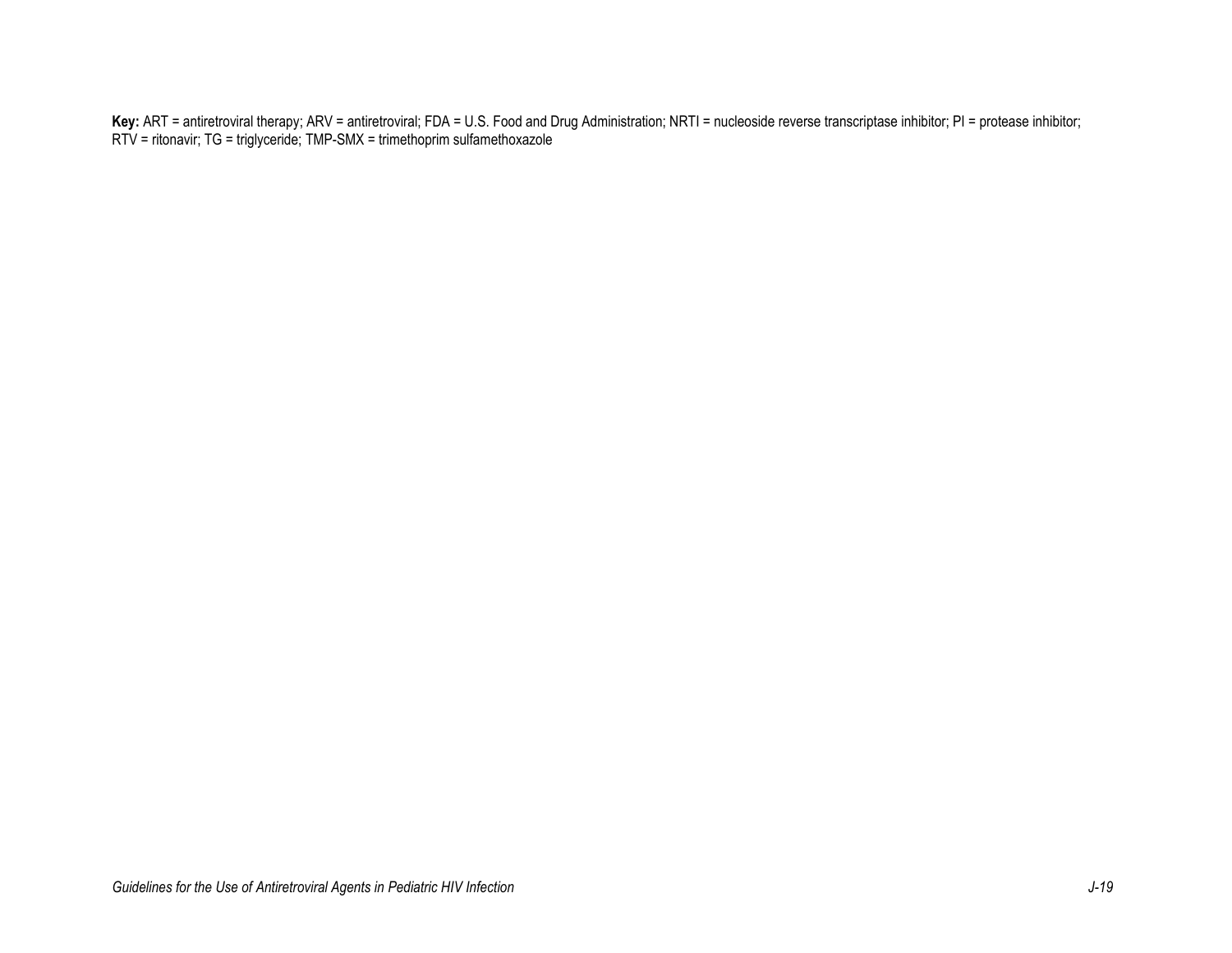**Key:** ART = antiretroviral therapy; ARV = antiretroviral; FDA = U.S. Food and Drug Administration; NRTI = nucleoside reverse transcriptase inhibitor; PI = protease inhibitor; RTV = ritonavir; TG = triglyceride; TMP-SMX = trimethoprim sulfamethoxazole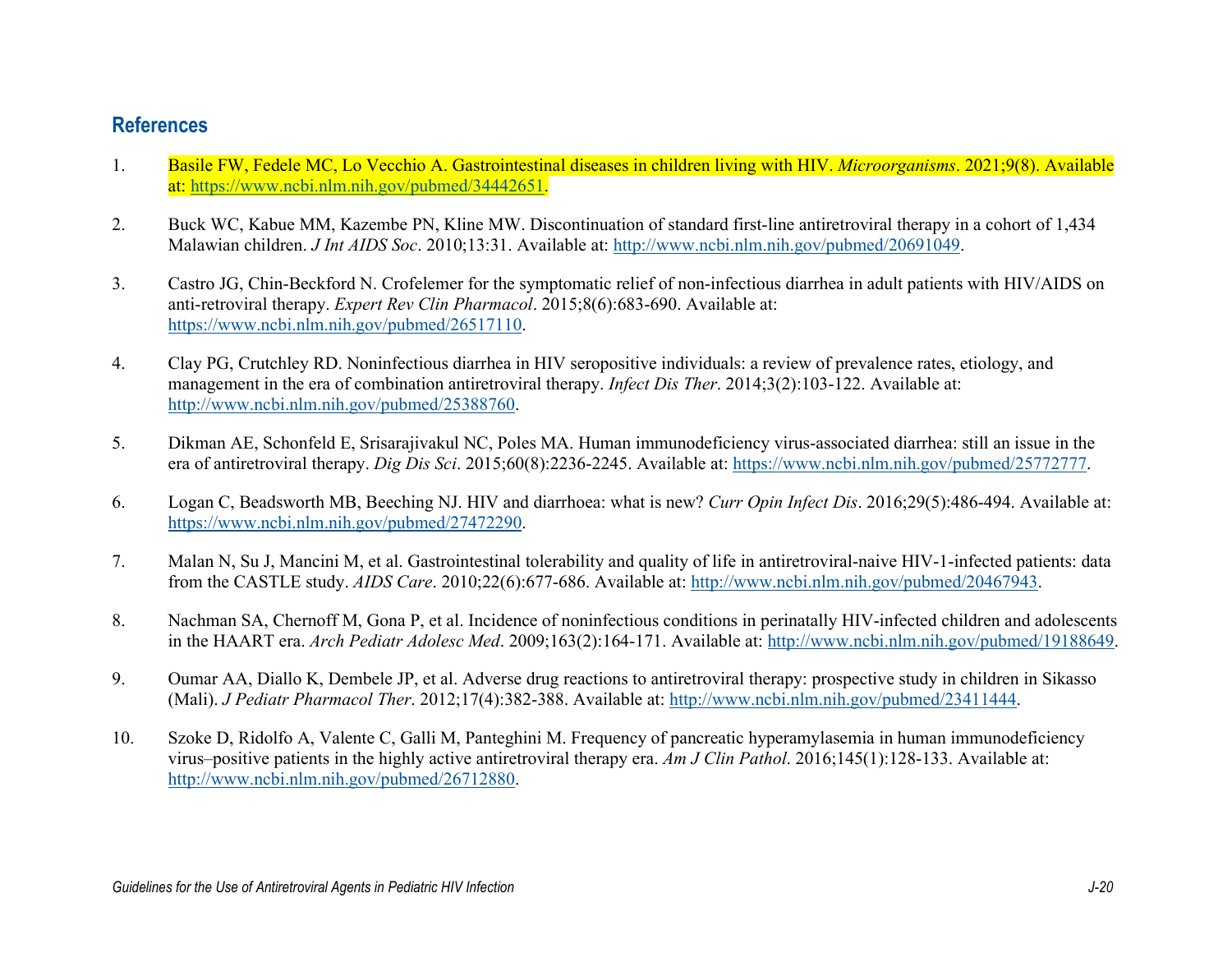## **References**

- 1. Basile FW, Fedele MC, Lo Vecchio A. Gastrointestinal diseases in children living with HIV. *Microorganisms*. 2021;9(8). Available at: [https://www.ncbi.nlm.nih.gov/pubmed/34442651.](https://www.ncbi.nlm.nih.gov/pubmed/34442651)
- 2. Buck WC, Kabue MM, Kazembe PN, Kline MW. Discontinuation of standard first-line antiretroviral therapy in a cohort of 1,434 Malawian children. *J Int AIDS Soc*. 2010;13:31. Available at: [http://www.ncbi.nlm.nih.gov/pubmed/20691049.](http://www.ncbi.nlm.nih.gov/pubmed/20691049)
- 3. Castro JG, Chin-Beckford N. Crofelemer for the symptomatic relief of non-infectious diarrhea in adult patients with HIV/AIDS on anti-retroviral therapy. *Expert Rev Clin Pharmacol*. 2015;8(6):683-690. Available at: [https://www.ncbi.nlm.nih.gov/pubmed/26517110.](https://www.ncbi.nlm.nih.gov/pubmed/26517110)
- 4. Clay PG, Crutchley RD. Noninfectious diarrhea in HIV seropositive individuals: a review of prevalence rates, etiology, and management in the era of combination antiretroviral therapy. *Infect Dis Ther*. 2014;3(2):103-122. Available at: [http://www.ncbi.nlm.nih.gov/pubmed/25388760.](http://www.ncbi.nlm.nih.gov/pubmed/25388760)
- 5. Dikman AE, Schonfeld E, Srisarajivakul NC, Poles MA. Human immunodeficiency virus-associated diarrhea: still an issue in the era of antiretroviral therapy. *Dig Dis Sci*. 2015;60(8):2236-2245. Available at: [https://www.ncbi.nlm.nih.gov/pubmed/25772777.](https://www.ncbi.nlm.nih.gov/pubmed/25772777)
- 6. Logan C, Beadsworth MB, Beeching NJ. HIV and diarrhoea: what is new? *Curr Opin Infect Dis*. 2016;29(5):486-494. Available at: [https://www.ncbi.nlm.nih.gov/pubmed/27472290.](https://www.ncbi.nlm.nih.gov/pubmed/27472290)
- 7. Malan N, Su J, Mancini M, et al. Gastrointestinal tolerability and quality of life in antiretroviral-naive HIV-1-infected patients: data from the CASTLE study. *AIDS Care*. 2010;22(6):677-686. Available at: [http://www.ncbi.nlm.nih.gov/pubmed/20467943.](http://www.ncbi.nlm.nih.gov/pubmed/20467943)
- 8. Nachman SA, Chernoff M, Gona P, et al. Incidence of noninfectious conditions in perinatally HIV-infected children and adolescents in the HAART era. *Arch Pediatr Adolesc Med*. 2009;163(2):164-171. Available at: [http://www.ncbi.nlm.nih.gov/pubmed/19188649.](http://www.ncbi.nlm.nih.gov/pubmed/19188649)
- 9. Oumar AA, Diallo K, Dembele JP, et al. Adverse drug reactions to antiretroviral therapy: prospective study in children in Sikasso (Mali). *J Pediatr Pharmacol Ther*. 2012;17(4):382-388. Available at: [http://www.ncbi.nlm.nih.gov/pubmed/23411444.](http://www.ncbi.nlm.nih.gov/pubmed/23411444)
- 10. Szoke D, Ridolfo A, Valente C, Galli M, Panteghini M. Frequency of pancreatic hyperamylasemia in human immunodeficiency virus–positive patients in the highly active antiretroviral therapy era. *Am J Clin Pathol*. 2016;145(1):128-133. Available at: [http://www.ncbi.nlm.nih.gov/pubmed/26712880.](http://www.ncbi.nlm.nih.gov/pubmed/26712880)